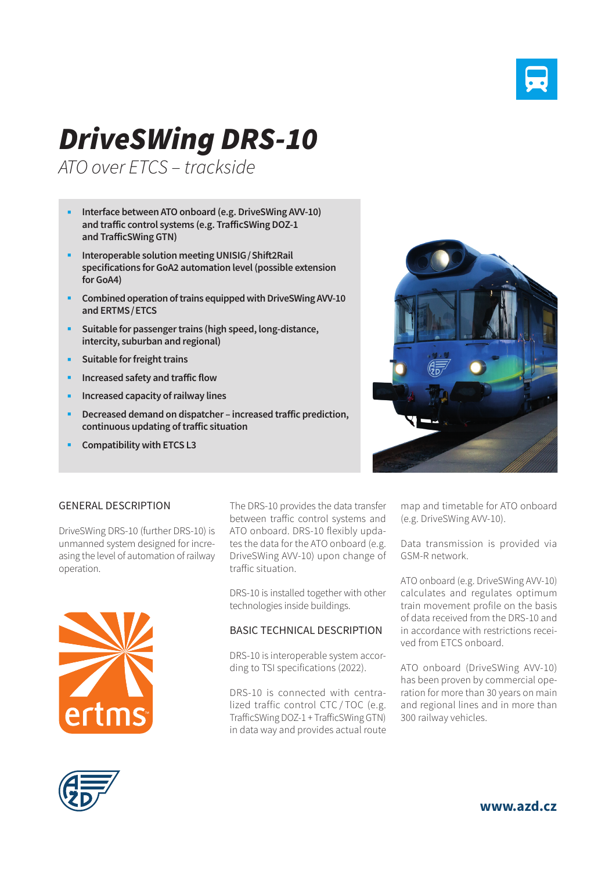

# *DriveSWing DRS-10*

*ATO over ETCS – trackside*

- **Interface between ATO onboard (e.g. DriveSWing AVV-10) and traffic control systems (e.g. TrafficSWing DOZ-1 and TrafficSWing GTN)**
- **Interoperable solution meeting UNISIG/Shift2Rail specifications for GoA2 automation level (possible extension for GoA4)**
- **Combined operation of trains equipped with DriveSWing AVV-10 and ERTMS/ETCS**
- **EXECUTE:** Suitable for passenger trains (high speed, long-distance, **intercity, suburban and regional)**
- **Suitable for freight trains**
- **Increased safety and traffic flow**
- **Increased capacity of railway lines**
- **Decreased demand on dispatcher increased traffic prediction, continuous updating of traffic situation**
- **Compatibility with ETCS L3**



#### GENERAL DESCRIPTION

DriveSWing DRS-10 (further DRS-10) is unmanned system designed for increasing the level of automation of railway operation.



The DRS-10 provides the data transfer between traffic control systems and ATO onboard. DRS-10 flexibly updates the data for the ATO onboard (e.g. DriveSWing AVV-10) upon change of traffic situation.

DRS-10 is installed together with other technologies inside buildings.

#### BASIC TECHNICAL DESCRIPTION

DRS-10 is interoperable system according to TSI specifications (2022).

DRS-10 is connected with centralized traffic control CTC / TOC (e.g. TrafficSWing DOZ-1 + TrafficSWing GTN) in data way and provides actual route

map and timetable for ATO onboard (e.g. DriveSWing AVV-10).

Data transmission is provided via GSM-R network.

ATO onboard (e.g. DriveSWing AVV-10) calculates and regulates optimum train movement profile on the basis of data received from the DRS-10 and in accordance with restrictions received from ETCS onboard.

ATO onboard (DriveSWing AVV-10) has been proven by commercial operation for more than 30 years on main and regional lines and in more than 300 railway vehicles.



**www.azd.cz**